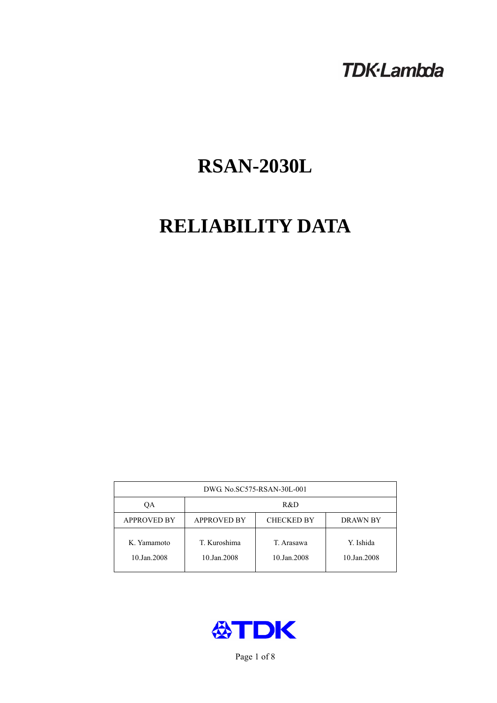# **TDK-Lambda**

# **RSAN-2030L**

# **RELIABILITY DATA**

| DWG. No.SC575-RSAN-30L-001 |                                                     |                           |                          |  |  |
|----------------------------|-----------------------------------------------------|---------------------------|--------------------------|--|--|
| OА                         | R&D                                                 |                           |                          |  |  |
| <b>APPROVED BY</b>         | <b>APPROVED BY</b><br><b>CHECKED BY</b><br>DRAWN BY |                           |                          |  |  |
| K. Yamamoto<br>10.Jan.2008 | T. Kuroshima<br>10.Jan.2008                         | T. Arasawa<br>10.Jan.2008 | Y. Ishida<br>10.Jan.2008 |  |  |



Page 1 of 8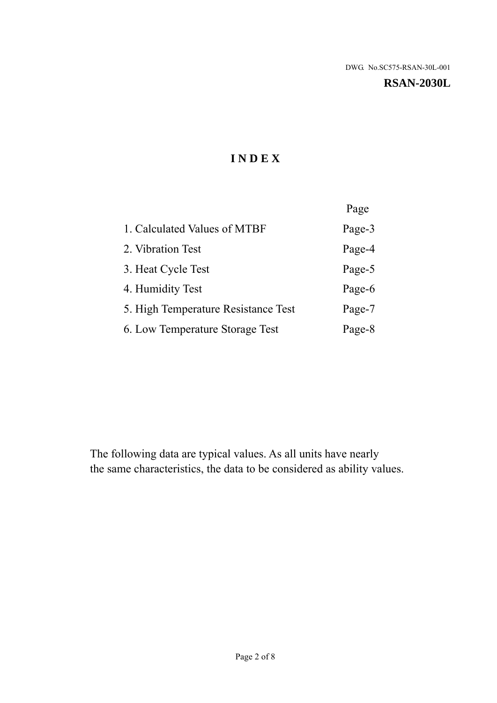#### **RSAN-2030L**

# **I N D E X**

|                                     | Page   |
|-------------------------------------|--------|
| 1. Calculated Values of MTBF        | Page-3 |
| 2. Vibration Test                   | Page-4 |
| 3. Heat Cycle Test                  | Page-5 |
| 4. Humidity Test                    | Page-6 |
| 5. High Temperature Resistance Test | Page-7 |
| 6. Low Temperature Storage Test     | Page-8 |

The following data are typical values. As all units have nearly the same characteristics, the data to be considered as ability values.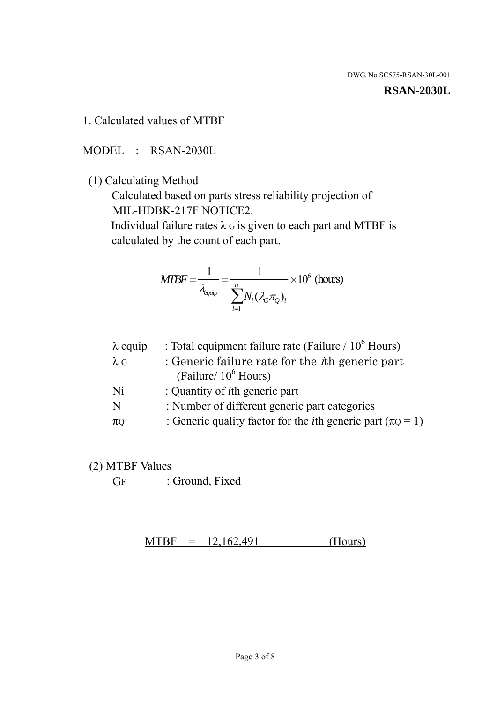#### **RSAN-2030L**

1. Calculated values of MTBF

MODEL : RSAN-2030L

(1) Calculating Method

 Calculated based on parts stress reliability projection of MIL-HDBK-217F NOTICE2.

Individual failure rates  $\lambda$  G is given to each part and MTBF is calculated by the count of each part.

$$
MIBF = \frac{1}{\lambda_{\text{equip}}} = \frac{1}{\sum_{i=1}^{n} N_i (\lambda_G \pi_Q)_i} \times 10^6 \text{ (hours)}
$$

| $\lambda$ equip | : Total equipment failure rate (Failure $/ 10^6$ Hours)                   |
|-----------------|---------------------------------------------------------------------------|
| $\lambda$ G     | : Generic failure rate for the $\hbar$ generic part                       |
|                 | (Failure/ $10^6$ Hours)                                                   |
| Ni              | : Quantity of <i>i</i> th generic part                                    |
| N               | : Number of different generic part categories                             |
| $\pi$ Q         | : Generic quality factor for the <i>i</i> th generic part ( $\pi Q = 1$ ) |

- (2) MTBF Values
	- GF : Ground, Fixed

 $MTBF = 12,162,491$  (Hours)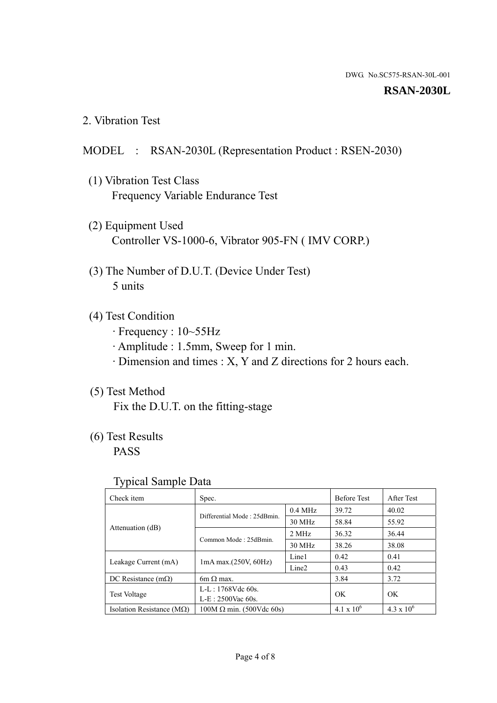#### **RSAN-2030L**

2. Vibration Test

## MODEL : RSAN-2030L (Representation Product : RSEN-2030)

- (1) Vibration Test Class Frequency Variable Endurance Test
- (2) Equipment Used Controller VS-1000-6, Vibrator 905-FN ( IMV CORP.)
- (3) The Number of D.U.T. (Device Under Test) 5 units
- (4) Test Condition
	- · Frequency : 10~55Hz
	- · Amplitude : 1.5mm, Sweep for 1 min.
	- · Dimension and times : X, Y and Z directions for 2 hours each.

# (5) Test Method

Fix the D.U.T. on the fitting-stage

# (6) Test Results

PASS

#### Typical Sample Data

| . .                           |                                                         |           |                     |                     |
|-------------------------------|---------------------------------------------------------|-----------|---------------------|---------------------|
| Check item                    | Spec.                                                   |           | <b>Before Test</b>  | After Test          |
|                               | Differential Mode: 25dBmin.                             | $0.4$ MHz | 39.72               | 40.02               |
|                               |                                                         | 30 MHz    | 58.84               | 55.92               |
| Attenuation (dB)              | Common Mode: 25dBmin.                                   | 2 MHz     | 36.32               | 36.44               |
|                               |                                                         | 30 MHz    | 38.26               | 38.08               |
| Leakage Current (mA)          | Line1<br>$1mA$ max. $(250V, 60Hz)$<br>Line <sub>2</sub> |           | 0.42                | 0.41                |
|                               |                                                         |           | 0.43                | 0.42                |
| DC Resistance $(m\Omega)$     | 6m $\Omega$ max.                                        |           | 3.84                | 3.72                |
| <b>Test Voltage</b>           | $L-L: 1768Vdc$ 60s.                                     |           | OK                  | OK.                 |
|                               | $L-E$ : 2500Vac 60s.                                    |           |                     |                     |
| Isolation Resistance ( $MQ$ ) | $100M \Omega$ min. (500Vdc 60s)                         |           | $4.1 \times 10^{6}$ | $4.3 \times 10^{6}$ |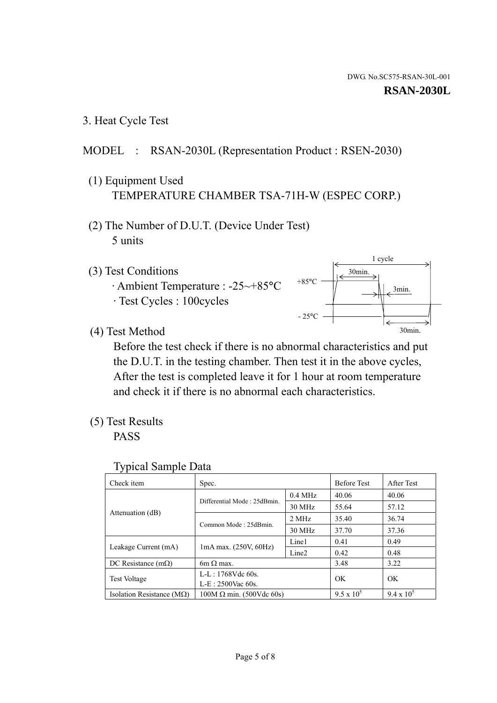3. Heat Cycle Test

# MODEL : RSAN-2030L (Representation Product : RSEN-2030)

- (1) Equipment Used TEMPERATURE CHAMBER TSA-71H-W (ESPEC CORP.)
- (2) The Number of D.U.T. (Device Under Test) 5 units
- (3) Test Conditions
	- · Ambient Temperature : -25~+85°C · Test Cycles : 100cycles



(4) Test Method

 Before the test check if there is no abnormal characteristics and put the D.U.T. in the testing chamber. Then test it in the above cycles, After the test is completed leave it for 1 hour at room temperature and check it if there is no abnormal each characteristics.

(5) Test Results

PASS

| <b>Typical Sample Data</b> |  |  |
|----------------------------|--|--|
|----------------------------|--|--|

| Check item                                                             | Spec.                           |           | <b>Before Test</b> | After Test        |
|------------------------------------------------------------------------|---------------------------------|-----------|--------------------|-------------------|
|                                                                        |                                 | $0.4$ MHz | 40.06              | 40.06             |
|                                                                        | Differential Mode: 25dBmin.     | 30 MHz    | 55.64              | 57.12             |
| Attenuation (dB)                                                       | Common Mode: 25dBmin.           | 2 MHz     | 35.40              | 36.74             |
|                                                                        |                                 | 30 MHz    | 37.70              | 37.36             |
| $1mA$ max. $(250V, 60Hz)$<br>Leakage Current (mA)                      |                                 | Line1     | 0.41               | 0.49              |
|                                                                        | Line <sub>2</sub>               | 0.42      | 0.48               |                   |
| DC Resistance $(m\Omega)$                                              | $6m \Omega$ max.                |           | 3.48               | 3.22              |
| L-L: $1768V$ de $60s$ .<br><b>Test Voltage</b><br>$L-E: 2500$ Vac 60s. |                                 |           | OK                 | OK                |
|                                                                        |                                 |           |                    |                   |
| Isolation Resistance ( $MQ$ )                                          | $100M \Omega$ min. (500Vdc 60s) |           | $9.5 \times 10^5$  | $9.4 \times 10^5$ |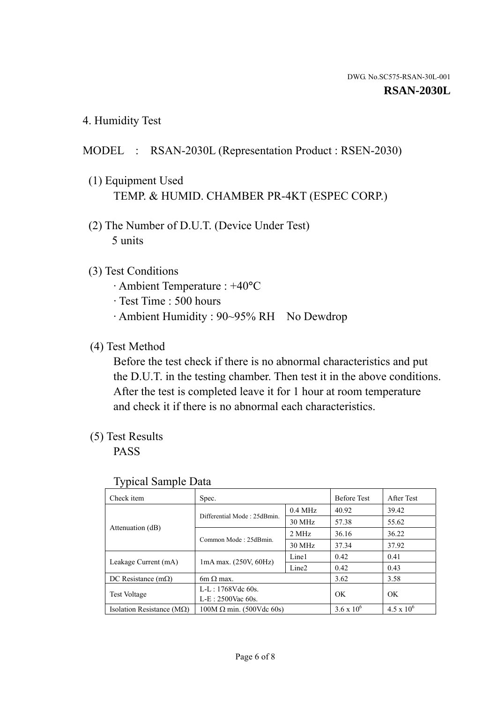4. Humidity Test

# MODEL : RSAN-2030L (Representation Product : RSEN-2030)

- (1) Equipment Used TEMP. & HUMID. CHAMBER PR-4KT (ESPEC CORP.)
- (2) The Number of D.U.T. (Device Under Test) 5 units

### (3) Test Conditions

- · Ambient Temperature : +40°C
- · Test Time : 500 hours
- · Ambient Humidity : 90~95% RH No Dewdrop

## (4) Test Method

 Before the test check if there is no abnormal characteristics and put the D.U.T. in the testing chamber. Then test it in the above conditions. After the test is completed leave it for 1 hour at room temperature and check it if there is no abnormal each characteristics.

# (5) Test Results

PASS

| . .                                |                                 |                   |                     |                     |
|------------------------------------|---------------------------------|-------------------|---------------------|---------------------|
| Check item                         | Spec.                           |                   | <b>Before Test</b>  | After Test          |
|                                    | Differential Mode: 25dBmin.     | $0.4$ MHz         | 40.92               | 39.42               |
|                                    |                                 | 30 MHz            | 57.38               | 55.62               |
| Attenuation (dB)                   | Common Mode: 25dBmin.           | 2 MHz             | 36.16               | 36.22               |
|                                    |                                 | 30 MHz            | 37.34               | 37.92               |
| Leakage Current (mA)               | $1mA$ max. $(250V, 60Hz)$       | Line1             | 0.42                | 0.41                |
|                                    |                                 | Line <sub>2</sub> | 0.42                | 0.43                |
| DC Resistance (m $\Omega$ )        | $6m \Omega$ max.                |                   | 3.62                | 3.58                |
| <b>Test Voltage</b>                | $L-L: 1768Vdc$ 60s.             |                   | OK                  | OK.                 |
|                                    | $L-E$ : 2500Vac 60s.            |                   |                     |                     |
| Isolation Resistance ( $M\Omega$ ) | $100M \Omega$ min. (500Vdc 60s) |                   | $3.6 \times 10^{6}$ | $4.5 \times 10^{6}$ |

#### Typical Sample Data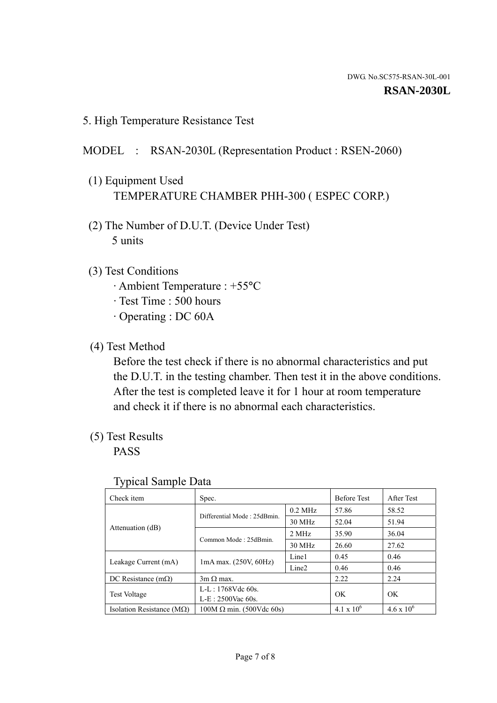5. High Temperature Resistance Test

## MODEL : RSAN-2030L (Representation Product : RSEN-2060)

- (1) Equipment Used TEMPERATURE CHAMBER PHH-300 ( ESPEC CORP.)
- (2) The Number of D.U.T. (Device Under Test) 5 units
- (3) Test Conditions
	- · Ambient Temperature : +55°C
	- · Test Time : 500 hours
	- · Operating : DC 60A
- (4) Test Method

 Before the test check if there is no abnormal characteristics and put the D.U.T. in the testing chamber. Then test it in the above conditions. After the test is completed leave it for 1 hour at room temperature and check it if there is no abnormal each characteristics.

(5) Test Results

PASS

| . .                                |                                 |                   |                     |                     |
|------------------------------------|---------------------------------|-------------------|---------------------|---------------------|
| Check item                         | Spec.                           |                   | <b>Before Test</b>  | After Test          |
|                                    | Differential Mode: 25dBmin.     | $0.2$ MHz         | 57.86               | 58.52               |
|                                    |                                 | 30 MHz            | 52.04               | 51.94               |
| Attenuation (dB)                   | Common Mode: 25dBmin.           | 2 MHz             | 35.90               | 36.04               |
|                                    |                                 | 30 MHz            | 26.60               | 27.62               |
| Leakage Current (mA)               | $1mA$ max. $(250V, 60Hz)$       | Line1             | 0.45                | 0.46                |
|                                    |                                 | Line <sub>2</sub> | 0.46                | 0.46                |
| DC Resistance $(m\Omega)$          | $3m \Omega$ max.                |                   | 2.22                | 2.24                |
| <b>Test Voltage</b>                | $L-L: 1768Vdc$ 60s.             |                   | OK                  | OK                  |
|                                    | $L-E$ : 2500Vac 60s.            |                   |                     |                     |
| Isolation Resistance ( $M\Omega$ ) | $100M \Omega$ min. (500Vdc 60s) |                   | $4.1 \times 10^{6}$ | $4.6 \times 10^{6}$ |

#### Typical Sample Data